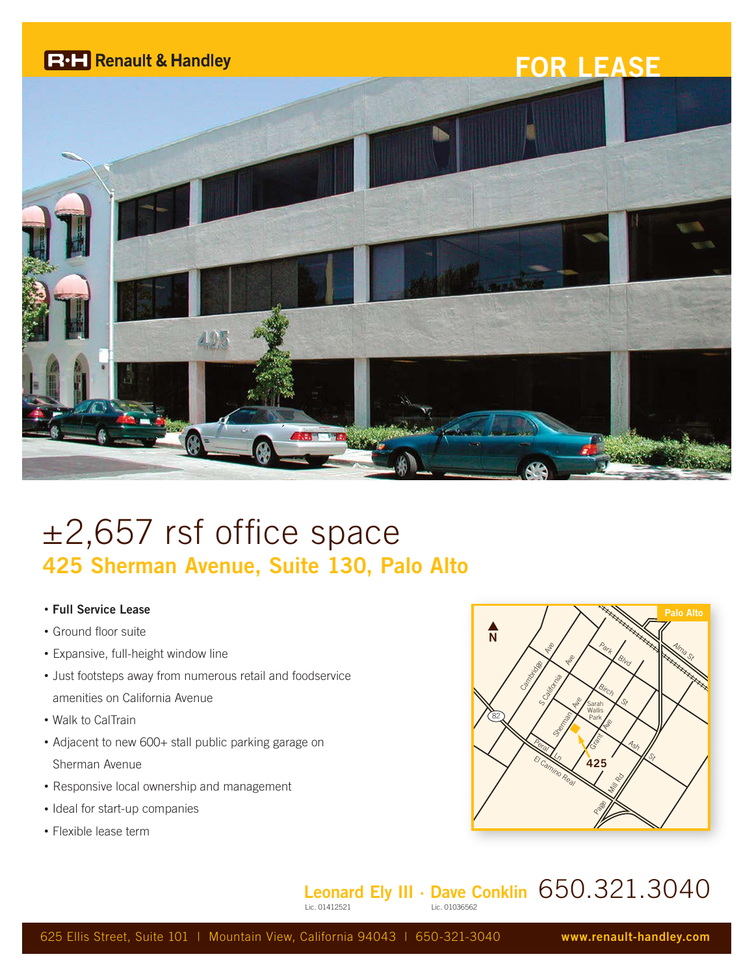

## ±2,657 rsf office space **425 Sherman Avenue, Suite 130, Palo Alto**

- **Full Service Lease**
- Ground floor suite
- Expansive, full-height window line
- Just footsteps away from numerous retail and foodservice amenities on California Avenue
- Walk to CalTrain
- Adjacent to new 600+ stall public parking garage on Sherman Avenue
- Responsive local ownership and management
- Ideal for start-up companies
- Flexible lease term



## **Leonard Ely III · Dave Conklin** 650.321.3040 Lic. 01036562

625 Ellis Street, Suite 101 | Mountain View, California 94043 | 650-321-3040 **www.renault-handley.com**